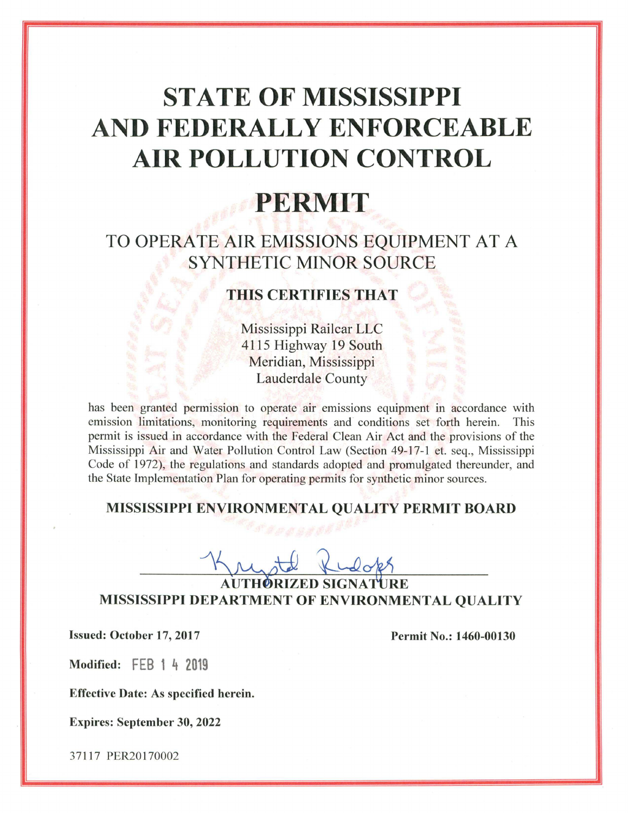# **STATE OF MISSISSIPPI** AND FEDERALLY ENFORCEABLE **AIR POLLUTION CONTROL**

## PERMIT

### TO OPERATE AIR EMISSIONS EQUIPMENT AT A **SYNTHETIC MINOR SOURCE**

#### **THIS CERTIFIES THAT**

Mississippi Railcar LLC 4115 Highway 19 South Meridian, Mississippi **Lauderdale County** 

has been granted permission to operate air emissions equipment in accordance with emission limitations, monitoring requirements and conditions set forth herein. This permit is issued in accordance with the Federal Clean Air Act and the provisions of the Mississippi Air and Water Pollution Control Law (Section 49-17-1 et. seq., Mississippi Code of 1972), the regulations and standards adopted and promulgated thereunder, and the State Implementation Plan for operating permits for synthetic minor sources.

#### MISSISSIPPI ENVIRONMENTAL QUALITY PERMIT BOARD

**AUTHORIZED SIGNATIEE** MISSISSIPPI DEPARTMENT OF ENVIRONMENTAL QUALITY

Issued: October 17, 2017

Permit No.: 1460-00130

Modified: FEB 1 4 2019

**Effective Date: As specified herein.** 

**Expires: September 30, 2022** 

37117 PER20170002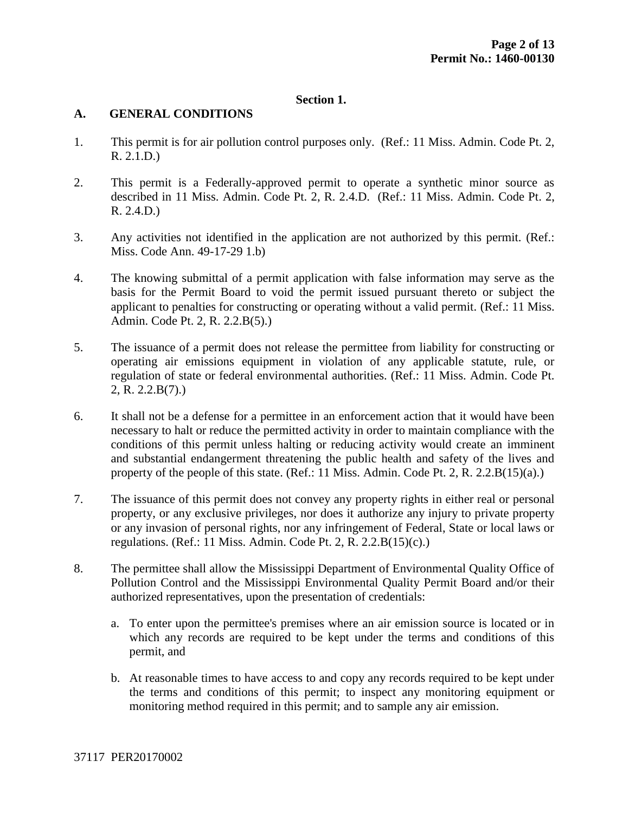#### **Section 1.**

#### **A. GENERAL CONDITIONS**

- 1. This permit is for air pollution control purposes only. (Ref.: 11 Miss. Admin. Code Pt. 2, R. 2.1.D.)
- 2. This permit is a Federally-approved permit to operate a synthetic minor source as described in 11 Miss. Admin. Code Pt. 2, R. 2.4.D. (Ref.: 11 Miss. Admin. Code Pt. 2, R. 2.4.D.)
- 3. Any activities not identified in the application are not authorized by this permit. (Ref.: Miss. Code Ann. 49-17-29 1.b)
- 4. The knowing submittal of a permit application with false information may serve as the basis for the Permit Board to void the permit issued pursuant thereto or subject the applicant to penalties for constructing or operating without a valid permit. (Ref.: 11 Miss. Admin. Code Pt. 2, R. 2.2.B(5).)
- 5. The issuance of a permit does not release the permittee from liability for constructing or operating air emissions equipment in violation of any applicable statute, rule, or regulation of state or federal environmental authorities. (Ref.: 11 Miss. Admin. Code Pt. 2, R. 2.2.B(7).)
- 6. It shall not be a defense for a permittee in an enforcement action that it would have been necessary to halt or reduce the permitted activity in order to maintain compliance with the conditions of this permit unless halting or reducing activity would create an imminent and substantial endangerment threatening the public health and safety of the lives and property of the people of this state. (Ref.: 11 Miss. Admin. Code Pt. 2, R. 2.2. $B(15)(a)$ .)
- 7. The issuance of this permit does not convey any property rights in either real or personal property, or any exclusive privileges, nor does it authorize any injury to private property or any invasion of personal rights, nor any infringement of Federal, State or local laws or regulations. (Ref.: 11 Miss. Admin. Code Pt. 2, R.  $2.2.B(15)(c)$ .)
- 8. The permittee shall allow the Mississippi Department of Environmental Quality Office of Pollution Control and the Mississippi Environmental Quality Permit Board and/or their authorized representatives, upon the presentation of credentials:
	- a. To enter upon the permittee's premises where an air emission source is located or in which any records are required to be kept under the terms and conditions of this permit, and
	- b. At reasonable times to have access to and copy any records required to be kept under the terms and conditions of this permit; to inspect any monitoring equipment or monitoring method required in this permit; and to sample any air emission.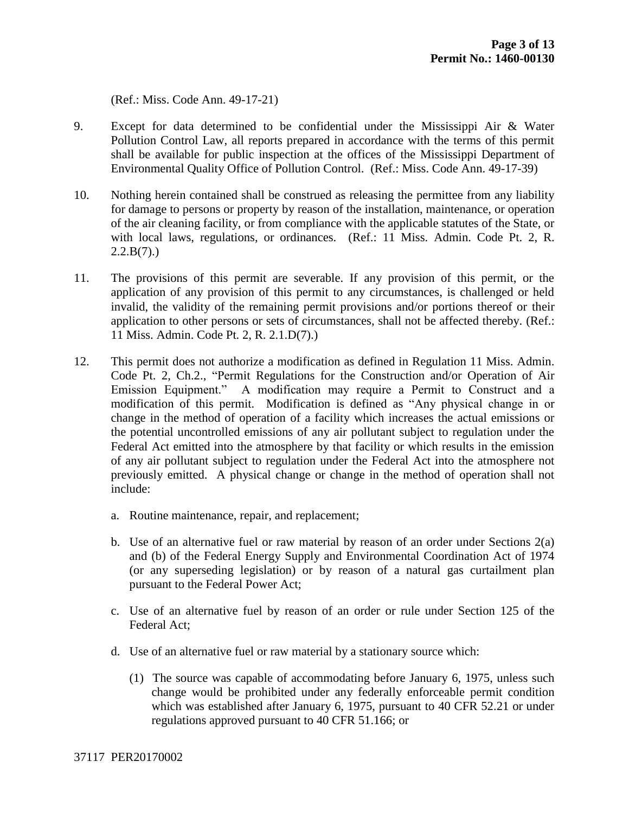(Ref.: Miss. Code Ann. 49-17-21)

- 9. Except for data determined to be confidential under the Mississippi Air & Water Pollution Control Law, all reports prepared in accordance with the terms of this permit shall be available for public inspection at the offices of the Mississippi Department of Environmental Quality Office of Pollution Control. (Ref.: Miss. Code Ann. 49-17-39)
- 10. Nothing herein contained shall be construed as releasing the permittee from any liability for damage to persons or property by reason of the installation, maintenance, or operation of the air cleaning facility, or from compliance with the applicable statutes of the State, or with local laws, regulations, or ordinances. (Ref.: 11 Miss. Admin. Code Pt. 2, R.  $2.2.B(7)$ .
- 11. The provisions of this permit are severable. If any provision of this permit, or the application of any provision of this permit to any circumstances, is challenged or held invalid, the validity of the remaining permit provisions and/or portions thereof or their application to other persons or sets of circumstances, shall not be affected thereby. (Ref.: 11 Miss. Admin. Code Pt. 2, R. 2.1.D(7).)
- 12. This permit does not authorize a modification as defined in Regulation 11 Miss. Admin. Code Pt. 2, Ch.2., "Permit Regulations for the Construction and/or Operation of Air Emission Equipment." A modification may require a Permit to Construct and a modification of this permit. Modification is defined as "Any physical change in or change in the method of operation of a facility which increases the actual emissions or the potential uncontrolled emissions of any air pollutant subject to regulation under the Federal Act emitted into the atmosphere by that facility or which results in the emission of any air pollutant subject to regulation under the Federal Act into the atmosphere not previously emitted. A physical change or change in the method of operation shall not include:
	- a. Routine maintenance, repair, and replacement;
	- b. Use of an alternative fuel or raw material by reason of an order under Sections 2(a) and (b) of the Federal Energy Supply and Environmental Coordination Act of 1974 (or any superseding legislation) or by reason of a natural gas curtailment plan pursuant to the Federal Power Act;
	- c. Use of an alternative fuel by reason of an order or rule under Section 125 of the Federal Act;
	- d. Use of an alternative fuel or raw material by a stationary source which:
		- (1) The source was capable of accommodating before January 6, 1975, unless such change would be prohibited under any federally enforceable permit condition which was established after January 6, 1975, pursuant to 40 CFR 52.21 or under regulations approved pursuant to 40 CFR 51.166; or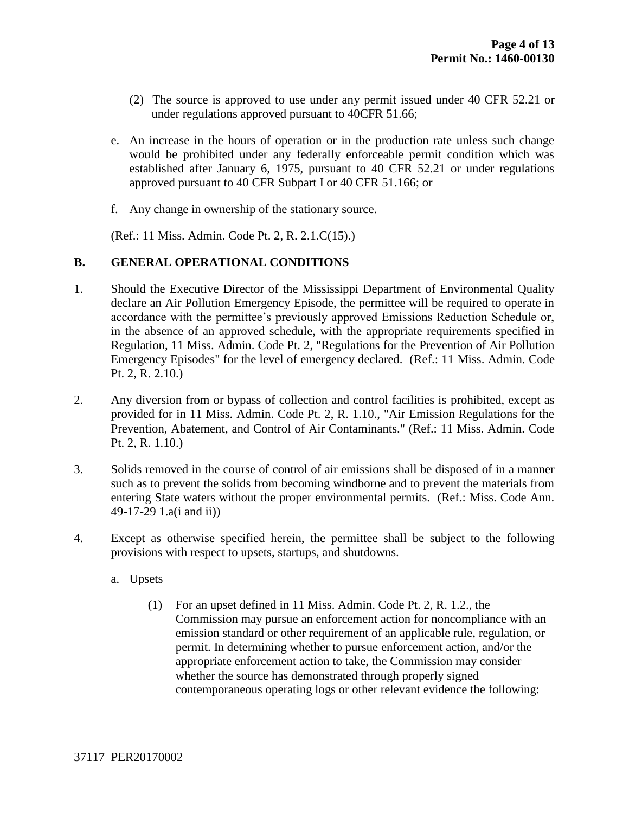- (2) The source is approved to use under any permit issued under 40 CFR 52.21 or under regulations approved pursuant to 40CFR 51.66;
- e. An increase in the hours of operation or in the production rate unless such change would be prohibited under any federally enforceable permit condition which was established after January 6, 1975, pursuant to 40 CFR 52.21 or under regulations approved pursuant to 40 CFR Subpart I or 40 CFR 51.166; or
- f. Any change in ownership of the stationary source.

(Ref.: 11 Miss. Admin. Code Pt. 2, R. 2.1.C(15).)

#### **B. GENERAL OPERATIONAL CONDITIONS**

- 1. Should the Executive Director of the Mississippi Department of Environmental Quality declare an Air Pollution Emergency Episode, the permittee will be required to operate in accordance with the permittee's previously approved Emissions Reduction Schedule or, in the absence of an approved schedule, with the appropriate requirements specified in Regulation, 11 Miss. Admin. Code Pt. 2, "Regulations for the Prevention of Air Pollution Emergency Episodes" for the level of emergency declared. (Ref.: 11 Miss. Admin. Code Pt. 2, R. 2.10.)
- 2. Any diversion from or bypass of collection and control facilities is prohibited, except as provided for in 11 Miss. Admin. Code Pt. 2, R. 1.10., "Air Emission Regulations for the Prevention, Abatement, and Control of Air Contaminants." (Ref.: 11 Miss. Admin. Code Pt. 2, R. 1.10.)
- 3. Solids removed in the course of control of air emissions shall be disposed of in a manner such as to prevent the solids from becoming windborne and to prevent the materials from entering State waters without the proper environmental permits. (Ref.: Miss. Code Ann. 49-17-29 1.a(i and ii))
- 4. Except as otherwise specified herein, the permittee shall be subject to the following provisions with respect to upsets, startups, and shutdowns.
	- a. Upsets
		- (1) For an upset defined in 11 Miss. Admin. Code Pt. 2, R. 1.2., the Commission may pursue an enforcement action for noncompliance with an emission standard or other requirement of an applicable rule, regulation, or permit. In determining whether to pursue enforcement action, and/or the appropriate enforcement action to take, the Commission may consider whether the source has demonstrated through properly signed contemporaneous operating logs or other relevant evidence the following: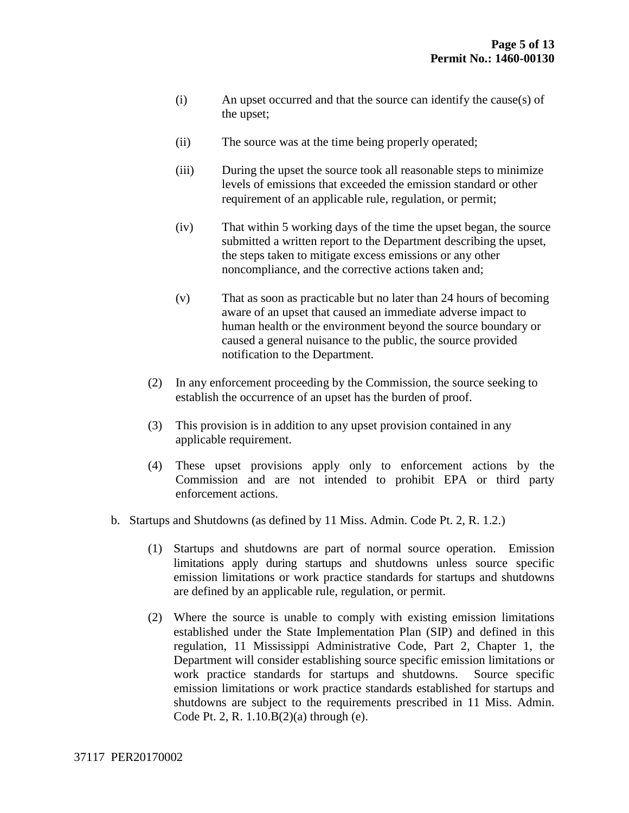- (i) An upset occurred and that the source can identify the cause(s) of the upset;
- (ii) The source was at the time being properly operated;
- (iii) During the upset the source took all reasonable steps to minimize levels of emissions that exceeded the emission standard or other requirement of an applicable rule, regulation, or permit;
- (iv) That within 5 working days of the time the upset began, the source submitted a written report to the Department describing the upset, the steps taken to mitigate excess emissions or any other noncompliance, and the corrective actions taken and;
- (v) That as soon as practicable but no later than 24 hours of becoming aware of an upset that caused an immediate adverse impact to human health or the environment beyond the source boundary or caused a general nuisance to the public, the source provided notification to the Department.
- (2) In any enforcement proceeding by the Commission, the source seeking to establish the occurrence of an upset has the burden of proof.
- (3) This provision is in addition to any upset provision contained in any applicable requirement.
- (4) These upset provisions apply only to enforcement actions by the Commission and are not intended to prohibit EPA or third party enforcement actions.
- b. Startups and Shutdowns (as defined by 11 Miss. Admin. Code Pt. 2, R. 1.2.)
	- (1) Startups and shutdowns are part of normal source operation. Emission limitations apply during startups and shutdowns unless source specific emission limitations or work practice standards for startups and shutdowns are defined by an applicable rule, regulation, or permit.
	- (2) Where the source is unable to comply with existing emission limitations established under the State Implementation Plan (SIP) and defined in this regulation, 11 Mississippi Administrative Code, Part 2, Chapter 1, the Department will consider establishing source specific emission limitations or work practice standards for startups and shutdowns. Source specific emission limitations or work practice standards established for startups and shutdowns are subject to the requirements prescribed in 11 Miss. Admin. Code Pt. 2, R. 1.10.B(2)(a) through (e).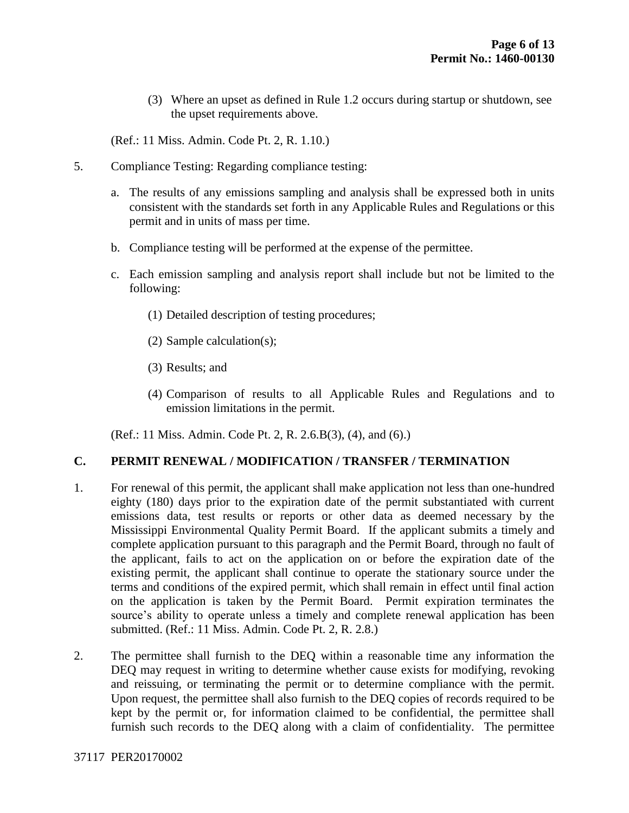(3) Where an upset as defined in Rule 1.2 occurs during startup or shutdown, see the upset requirements above.

(Ref.: 11 Miss. Admin. Code Pt. 2, R. 1.10.)

- 5. Compliance Testing: Regarding compliance testing:
	- a. The results of any emissions sampling and analysis shall be expressed both in units consistent with the standards set forth in any Applicable Rules and Regulations or this permit and in units of mass per time.
	- b. Compliance testing will be performed at the expense of the permittee.
	- c. Each emission sampling and analysis report shall include but not be limited to the following:
		- (1) Detailed description of testing procedures;
		- (2) Sample calculation(s);
		- (3) Results; and
		- (4) Comparison of results to all Applicable Rules and Regulations and to emission limitations in the permit.

(Ref.: 11 Miss. Admin. Code Pt. 2, R. 2.6.B(3), (4), and (6).)

#### **C. PERMIT RENEWAL / MODIFICATION / TRANSFER / TERMINATION**

- 1. For renewal of this permit, the applicant shall make application not less than one-hundred eighty (180) days prior to the expiration date of the permit substantiated with current emissions data, test results or reports or other data as deemed necessary by the Mississippi Environmental Quality Permit Board. If the applicant submits a timely and complete application pursuant to this paragraph and the Permit Board, through no fault of the applicant, fails to act on the application on or before the expiration date of the existing permit, the applicant shall continue to operate the stationary source under the terms and conditions of the expired permit, which shall remain in effect until final action on the application is taken by the Permit Board. Permit expiration terminates the source's ability to operate unless a timely and complete renewal application has been submitted. (Ref.: 11 Miss. Admin. Code Pt. 2, R. 2.8.)
- 2. The permittee shall furnish to the DEQ within a reasonable time any information the DEQ may request in writing to determine whether cause exists for modifying, revoking and reissuing, or terminating the permit or to determine compliance with the permit. Upon request, the permittee shall also furnish to the DEQ copies of records required to be kept by the permit or, for information claimed to be confidential, the permittee shall furnish such records to the DEQ along with a claim of confidentiality. The permittee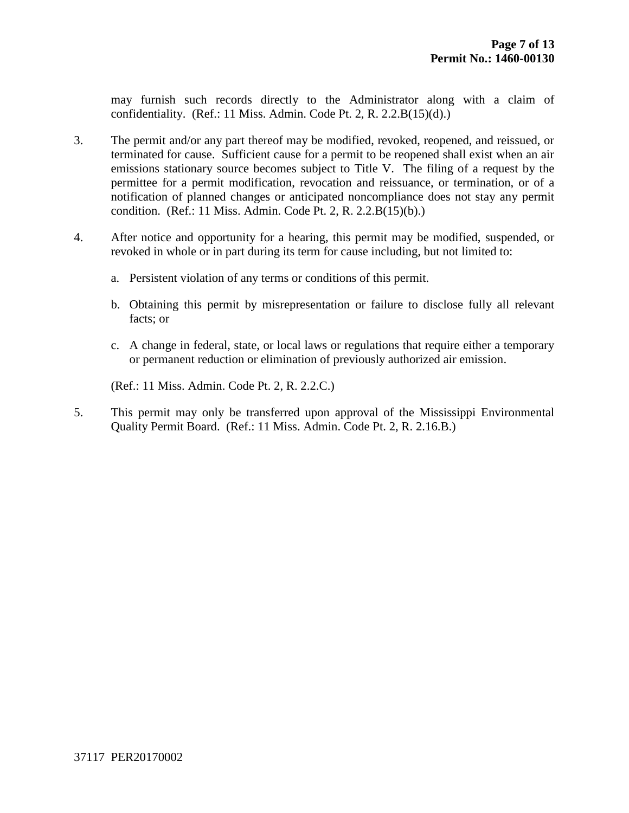may furnish such records directly to the Administrator along with a claim of confidentiality. (Ref.: 11 Miss. Admin. Code Pt. 2, R.  $2.2.B(15)(d)$ .)

- 3. The permit and/or any part thereof may be modified, revoked, reopened, and reissued, or terminated for cause. Sufficient cause for a permit to be reopened shall exist when an air emissions stationary source becomes subject to Title V. The filing of a request by the permittee for a permit modification, revocation and reissuance, or termination, or of a notification of planned changes or anticipated noncompliance does not stay any permit condition. (Ref.: 11 Miss. Admin. Code Pt. 2, R. 2.2.B(15)(b).)
- 4. After notice and opportunity for a hearing, this permit may be modified, suspended, or revoked in whole or in part during its term for cause including, but not limited to:
	- a. Persistent violation of any terms or conditions of this permit.
	- b. Obtaining this permit by misrepresentation or failure to disclose fully all relevant facts; or
	- c. A change in federal, state, or local laws or regulations that require either a temporary or permanent reduction or elimination of previously authorized air emission.

(Ref.: 11 Miss. Admin. Code Pt. 2, R. 2.2.C.)

5. This permit may only be transferred upon approval of the Mississippi Environmental Quality Permit Board. (Ref.: 11 Miss. Admin. Code Pt. 2, R. 2.16.B.)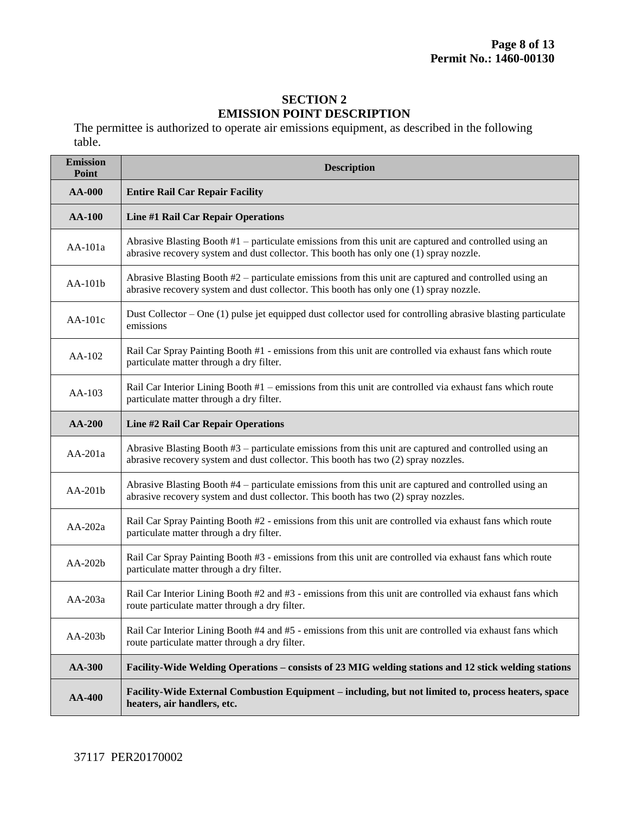#### **SECTION 2 EMISSION POINT DESCRIPTION**

The permittee is authorized to operate air emissions equipment, as described in the following table.

| <b>Emission</b><br><b>Point</b> | <b>Description</b>                                                                                                                                                                                 |  |  |  |
|---------------------------------|----------------------------------------------------------------------------------------------------------------------------------------------------------------------------------------------------|--|--|--|
| <b>AA-000</b>                   | <b>Entire Rail Car Repair Facility</b>                                                                                                                                                             |  |  |  |
| <b>AA-100</b>                   | Line #1 Rail Car Repair Operations                                                                                                                                                                 |  |  |  |
| AA-101a                         | Abrasive Blasting Booth $#1$ – particulate emissions from this unit are captured and controlled using an<br>abrasive recovery system and dust collector. This booth has only one (1) spray nozzle. |  |  |  |
| $AA-101b$                       | Abrasive Blasting Booth $#2$ – particulate emissions from this unit are captured and controlled using an<br>abrasive recovery system and dust collector. This booth has only one (1) spray nozzle. |  |  |  |
| $AA-101c$                       | Dust Collector – One (1) pulse jet equipped dust collector used for controlling abrasive blasting particulate<br>emissions                                                                         |  |  |  |
| AA-102                          | Rail Car Spray Painting Booth #1 - emissions from this unit are controlled via exhaust fans which route<br>particulate matter through a dry filter.                                                |  |  |  |
| $AA-103$                        | Rail Car Interior Lining Booth #1 – emissions from this unit are controlled via exhaust fans which route<br>particulate matter through a dry filter.                                               |  |  |  |
| $AA-200$                        | Line #2 Rail Car Repair Operations                                                                                                                                                                 |  |  |  |
| $AA-201a$                       | Abrasive Blasting Booth $#3$ – particulate emissions from this unit are captured and controlled using an<br>abrasive recovery system and dust collector. This booth has two (2) spray nozzles.     |  |  |  |
| AA-201b                         | Abrasive Blasting Booth #4 – particulate emissions from this unit are captured and controlled using an<br>abrasive recovery system and dust collector. This booth has two (2) spray nozzles.       |  |  |  |
| AA-202a                         | Rail Car Spray Painting Booth #2 - emissions from this unit are controlled via exhaust fans which route<br>particulate matter through a dry filter.                                                |  |  |  |
| $AA-202b$                       | Rail Car Spray Painting Booth #3 - emissions from this unit are controlled via exhaust fans which route<br>particulate matter through a dry filter.                                                |  |  |  |
| AA-203a                         | Rail Car Interior Lining Booth #2 and #3 - emissions from this unit are controlled via exhaust fans which<br>route particulate matter through a dry filter.                                        |  |  |  |
| AA-203b                         | Rail Car Interior Lining Booth #4 and #5 - emissions from this unit are controlled via exhaust fans which<br>route particulate matter through a dry filter.                                        |  |  |  |
| AA-300                          | Facility-Wide Welding Operations – consists of 23 MIG welding stations and 12 stick welding stations                                                                                               |  |  |  |
| <b>AA-400</b>                   | Facility-Wide External Combustion Equipment – including, but not limited to, process heaters, space<br>heaters, air handlers, etc.                                                                 |  |  |  |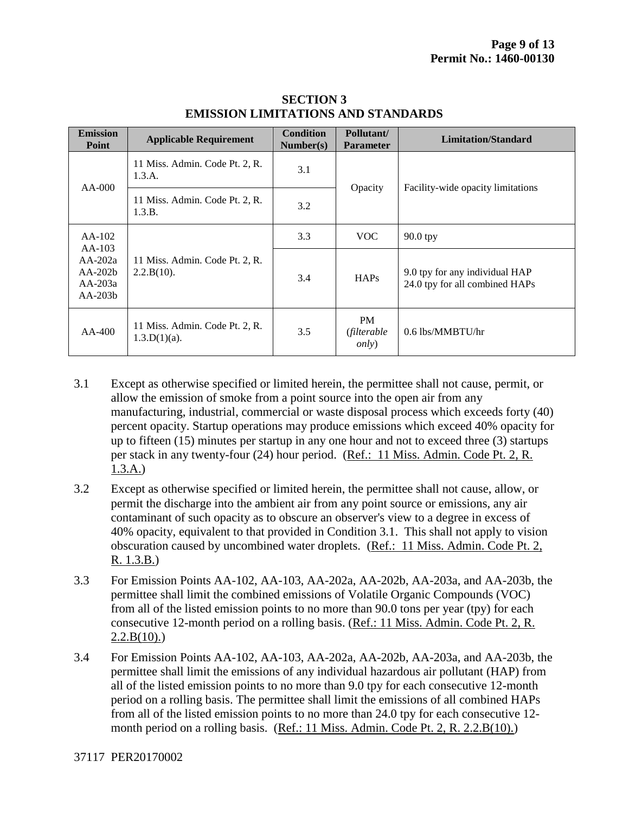| <b>Emission</b><br>Point                                                 | <b>Applicable Requirement</b>                     | <b>Condition</b><br>Number(s)                              | Pollutant/<br><b>Parameter</b>            | <b>Limitation/Standard</b>                                       |
|--------------------------------------------------------------------------|---------------------------------------------------|------------------------------------------------------------|-------------------------------------------|------------------------------------------------------------------|
| $AA-000$                                                                 | 11 Miss. Admin. Code Pt. 2, R.<br>1.3.A.          | 3.1<br>Opacity<br>Facility-wide opacity limitations<br>3.2 |                                           |                                                                  |
|                                                                          | 11 Miss. Admin. Code Pt. 2, R.<br>1.3.B.          |                                                            |                                           |                                                                  |
| $AA-102$<br>$AA-103$<br>$AA-202a$<br>$AA-202b$<br>$AA-203a$<br>$AA-203b$ | 11 Miss. Admin. Code Pt. 2, R.<br>2.2.B(10).      | 3.3                                                        | <b>VOC</b>                                | $90.0$ tpy                                                       |
|                                                                          |                                                   | 3.4                                                        | <b>HAPs</b>                               | 9.0 tpy for any individual HAP<br>24.0 tpy for all combined HAPs |
| $AA-400$                                                                 | 11 Miss. Admin. Code Pt. 2, R.<br>$1.3.D(1)(a)$ . | 3.5                                                        | <b>PM</b><br>(filterable<br><i>only</i> ) | $0.6$ lbs/MMBTU/hr                                               |

#### **SECTION 3 EMISSION LIMITATIONS AND STANDARDS**

- 3.1 Except as otherwise specified or limited herein, the permittee shall not cause, permit, or allow the emission of smoke from a point source into the open air from any manufacturing, industrial, commercial or waste disposal process which exceeds forty (40) percent opacity. Startup operations may produce emissions which exceed 40% opacity for up to fifteen (15) minutes per startup in any one hour and not to exceed three (3) startups per stack in any twenty-four (24) hour period. (Ref.: 11 Miss. Admin. Code Pt. 2, R. 1.3.A.)
- 3.2 Except as otherwise specified or limited herein, the permittee shall not cause, allow, or permit the discharge into the ambient air from any point source or emissions, any air contaminant of such opacity as to obscure an observer's view to a degree in excess of 40% opacity, equivalent to that provided in Condition 3.1. This shall not apply to vision obscuration caused by uncombined water droplets. (Ref.: 11 Miss. Admin. Code Pt. 2, R. 1.3.B.)
- 3.3 For Emission Points AA-102, AA-103, AA-202a, AA-202b, AA-203a, and AA-203b, the permittee shall limit the combined emissions of Volatile Organic Compounds (VOC) from all of the listed emission points to no more than 90.0 tons per year (tpy) for each consecutive 12-month period on a rolling basis. (Ref.: 11 Miss. Admin. Code Pt. 2, R.  $2.2.B(10)$ .)
- 3.4 For Emission Points AA-102, AA-103, AA-202a, AA-202b, AA-203a, and AA-203b, the permittee shall limit the emissions of any individual hazardous air pollutant (HAP) from all of the listed emission points to no more than 9.0 tpy for each consecutive 12-month period on a rolling basis. The permittee shall limit the emissions of all combined HAPs from all of the listed emission points to no more than 24.0 tpy for each consecutive 12 month period on a rolling basis. (Ref.: 11 Miss. Admin. Code Pt. 2, R. 2.2.B(10).)

37117 PER20170002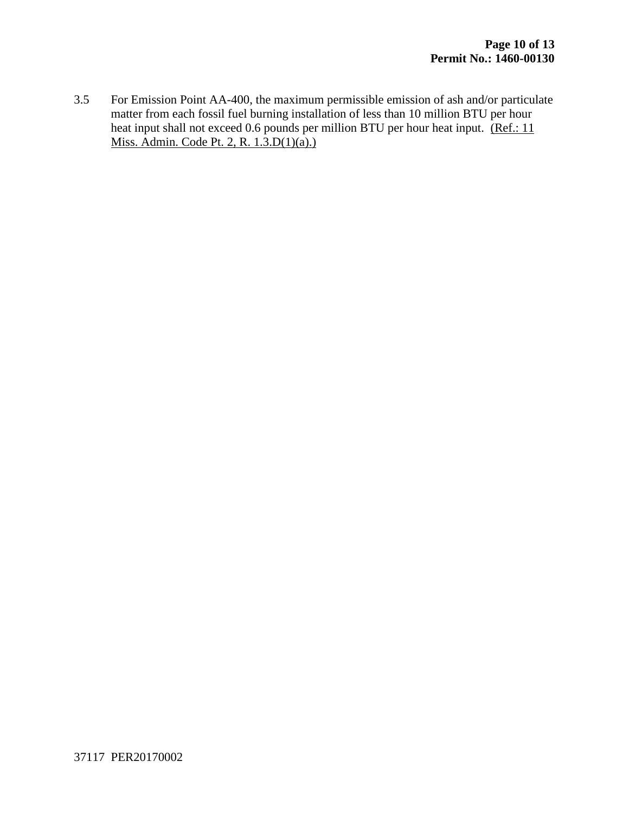3.5 For Emission Point AA-400, the maximum permissible emission of ash and/or particulate matter from each fossil fuel burning installation of less than 10 million BTU per hour heat input shall not exceed 0.6 pounds per million BTU per hour heat input. (Ref.: 11 Miss. Admin. Code Pt. 2, R.  $1.\overline{3}$ .D(1)(a).)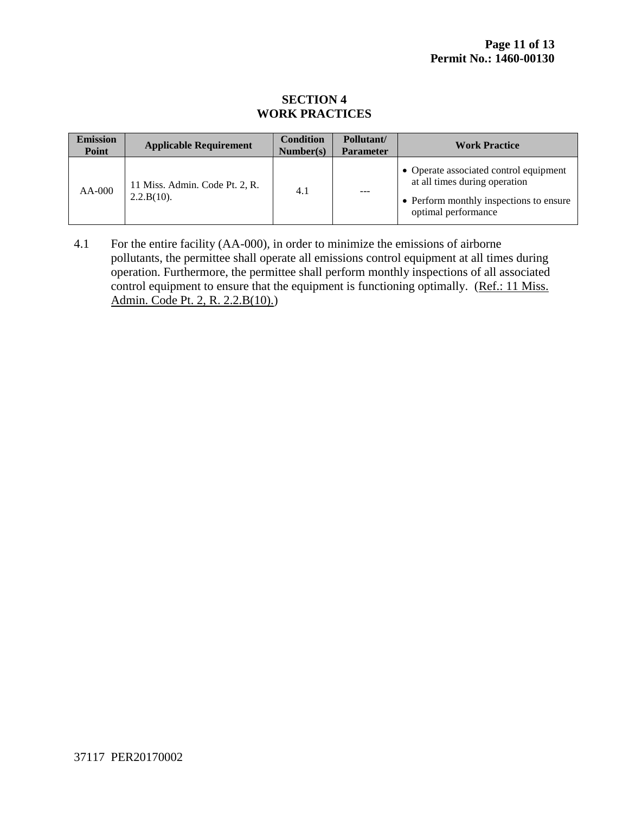#### **SECTION 4 WORK PRACTICES**

| <b>Emission</b><br>Point | <b>Applicable Requirement</b>                | <b>Condition</b><br>Number(s) | Pollutant/<br><b>Parameter</b> | <b>Work Practice</b>                                                                                                                      |
|--------------------------|----------------------------------------------|-------------------------------|--------------------------------|-------------------------------------------------------------------------------------------------------------------------------------------|
| $AA-000$                 | 11 Miss. Admin. Code Pt. 2, R.<br>2.2.B(10). | 4.1                           | $- - -$                        | • Operate associated control equipment<br>at all times during operation<br>• Perform monthly inspections to ensure<br>optimal performance |

4.1 For the entire facility (AA-000), in order to minimize the emissions of airborne pollutants, the permittee shall operate all emissions control equipment at all times during operation. Furthermore, the permittee shall perform monthly inspections of all associated control equipment to ensure that the equipment is functioning optimally. (Ref.: 11 Miss. Admin. Code Pt. 2, R. 2.2.B(10).)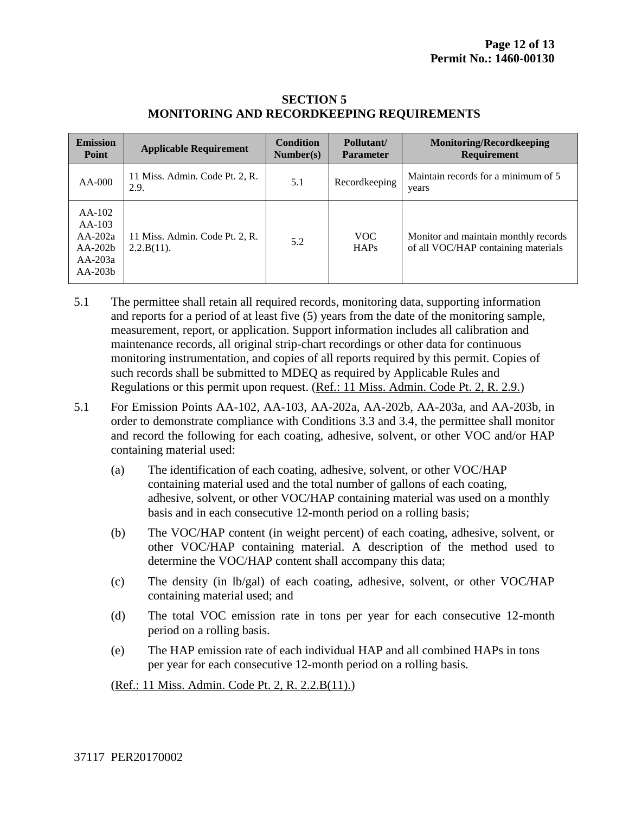| <b>Emission</b><br>Point                                                 | <b>Applicable Requirement</b>                   | <b>Condition</b><br>Number(s) | Pollutant/<br><b>Parameter</b> | <b>Monitoring/Recordkeeping</b><br>Requirement                              |
|--------------------------------------------------------------------------|-------------------------------------------------|-------------------------------|--------------------------------|-----------------------------------------------------------------------------|
| $AA-000$                                                                 | 11 Miss. Admin. Code Pt. 2, R.<br>2.9.          | 5.1                           | Recordkeeping                  | Maintain records for a minimum of 5<br>years                                |
| $AA-102$<br>$AA-103$<br>$AA-202a$<br>$AA-202b$<br>$AA-203a$<br>$AA-203b$ | 11 Miss. Admin. Code Pt. 2, R.<br>$2.2.B(11)$ . | 5.2                           | VOC.<br><b>HAPs</b>            | Monitor and maintain monthly records<br>of all VOC/HAP containing materials |

#### **SECTION 5 MONITORING AND RECORDKEEPING REQUIREMENTS**

- 5.1 The permittee shall retain all required records, monitoring data, supporting information and reports for a period of at least five (5) years from the date of the monitoring sample, measurement, report, or application. Support information includes all calibration and maintenance records, all original strip-chart recordings or other data for continuous monitoring instrumentation, and copies of all reports required by this permit. Copies of such records shall be submitted to MDEQ as required by Applicable Rules and Regulations or this permit upon request. (Ref.: 11 Miss. Admin. Code Pt. 2, R. 2.9.)
- 5.1 For Emission Points AA-102, AA-103, AA-202a, AA-202b, AA-203a, and AA-203b, in order to demonstrate compliance with Conditions 3.3 and 3.4, the permittee shall monitor and record the following for each coating, adhesive, solvent, or other VOC and/or HAP containing material used:
	- (a) The identification of each coating, adhesive, solvent, or other VOC/HAP containing material used and the total number of gallons of each coating, adhesive, solvent, or other VOC/HAP containing material was used on a monthly basis and in each consecutive 12-month period on a rolling basis;
	- (b) The VOC/HAP content (in weight percent) of each coating, adhesive, solvent, or other VOC/HAP containing material. A description of the method used to determine the VOC/HAP content shall accompany this data;
	- (c) The density (in lb/gal) of each coating, adhesive, solvent, or other VOC/HAP containing material used; and
	- (d) The total VOC emission rate in tons per year for each consecutive 12-month period on a rolling basis.
	- (e) The HAP emission rate of each individual HAP and all combined HAPs in tons per year for each consecutive 12-month period on a rolling basis.

(Ref.: 11 Miss. Admin. Code Pt. 2, R. 2.2.B(11).)